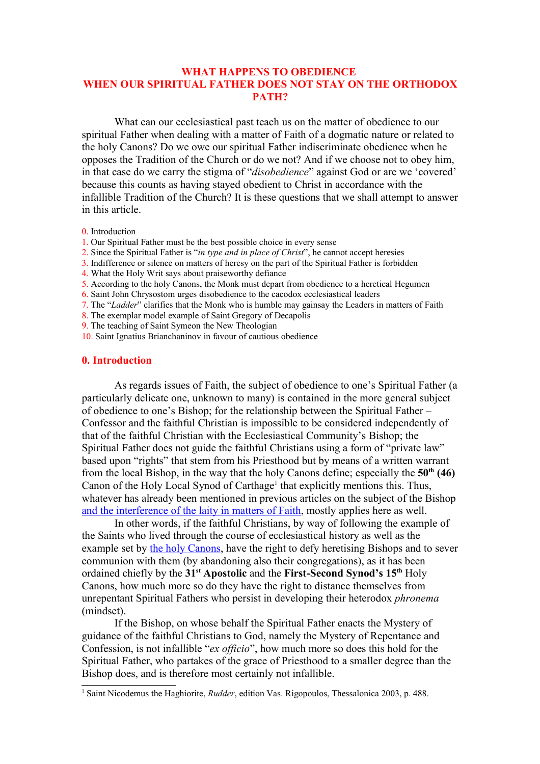# **WHAT HAPPENS TO OBEDIENCE WHEN OUR SPIRITUAL FATHER DOES NOT STAY ON THE ORTHODOX PATH?**

What can our ecclesiastical past teach us on the matter of obedience to our spiritual Father when dealing with a matter of Faith of a dogmatic nature or related to the holy Canons? Do we owe our spiritual Father indiscriminate obedience when he opposes the Tradition of the Church or do we not? And if we choose not to obey him, in that case do we carry the stigma of "*disobedience*" against God or are we 'covered' because this counts as having stayed obedient to Christ in accordance with the infallible Tradition of the Church? It is these questions that we shall attempt to answer in this article.

- 0. Introduction
- 1. Our Spiritual Father must be the best possible choice in every sense
- 2. Since the Spiritual Father is "*in type and in place of Christ*", he cannot accept heresies
- 3. Indifference or silence on matters of heresy on the part of the Spiritual Father is forbidden
- 4. What the Holy Writ says about praiseworthy defiance
- 5. According to the holy Canons, the Monk must depart from obedience to a heretical Hegumen
- 6. Saint John Chrysostom urges disobedience to the cacodox ecclesiastical leaders
- 7. The "*Ladder*" clarifies that the Monk who is humble may gainsay the Leaders in matters of Faith
- 8. The exemplar model example of Saint Gregory of Decapolis
- 9. The teaching of Saint Symeon the New Theologian
- 10. Saint Ignatius Brianchaninov in favour of cautious obedience

#### **0. Introduction**

As regards issues of Faith, the subject of obedience to one's Spiritual Father (a particularly delicate one, unknown to many) is contained in the more general subject of obedience to one's Bishop; for the relationship between the Spiritual Father – Confessor and the faithful Christian is impossible to be considered independently of that of the faithful Christian with the Ecclesiastical Community's Bishop; the Spiritual Father does not guide the faithful Christians using a form of "private law" based upon "rights" that stem from his Priesthood but by means of a written warrant from the local Bishop, in the way that the holy Canons define; especially the **50th (46)** Canon of the Holy Local Synod of Carthage<sup>[1](#page-0-0)</sup> that explicitly mentions this. Thus, whatever has already been mentioned in previous articles on the subject of the Bishop [and the interference of the laity in matters of Faith,](http://www.impantokratoros.gr/9D62D98F.en.aspx) mostly applies here as well.

In other words, if the faithful Christians, by way of following the example of the Saints who lived through the course of ecclesiastical history as well as the example set by [the holy Canons,](http://www.impantokratoros.gr/95F6275C.el.aspx) have the right to defy heretising Bishops and to sever communion with them (by abandoning also their congregations), as it has been ordained chiefly by the **31st Apostolic** and the **First-Second Synod's 15th** Holy Canons, how much more so do they have the right to distance themselves from unrepentant Spiritual Fathers who persist in developing their heterodox *phronema* (mindset).

If the Bishop, on whose behalf the Spiritual Father enacts the Mystery of guidance of the faithful Christians to God, namely the Mystery of Repentance and Confession, is not infallible "*ex officio*", how much more so does this hold for the Spiritual Father, who partakes of the grace of Priesthood to a smaller degree than the Bishop does, and is therefore most certainly not infallible.

<span id="page-0-0"></span><sup>1</sup> Saint Nicodemus the Haghiorite, *Rudder*, edition Vas. Rigopoulos, Thessalonica 2003, p. 488.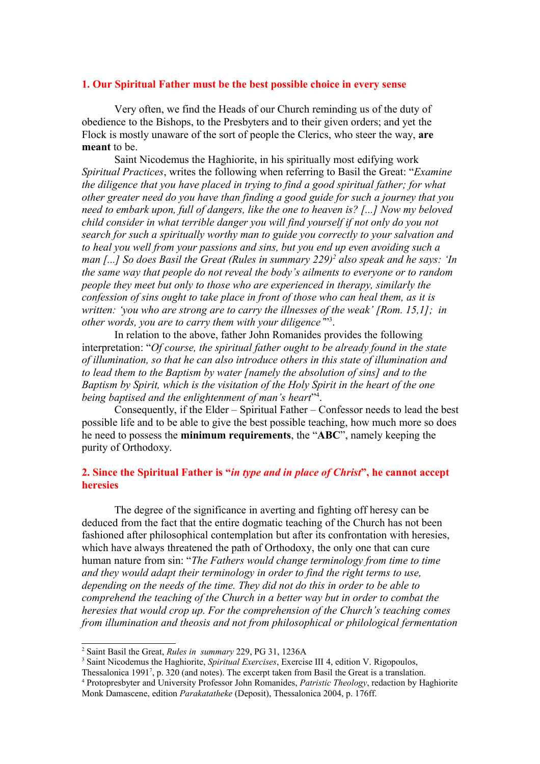### **1. Our Spiritual Father must be the best possible choice in every sense**

Very often, we find the Heads of our Church reminding us of the duty of obedience to the Bishops, to the Presbyters and to their given orders; and yet the Flock is mostly unaware of the sort of people the Clerics, who steer the way, **are meant** to be.

Saint Nicodemus the Haghiorite, in his spiritually most edifying work *Spiritual Practices*, writes the following when referring to Basil the Great: "*Examine the diligence that you have placed in trying to find a good spiritual father; for what other greater need do you have than finding a good guide for such a journey that you need to embark upon, full of dangers, like the one to heaven is? [...] Now my beloved child consider in what terrible danger you will find yourself if not only do you not search for such a spiritually worthy man to guide you correctly to your salvation and to heal you well from your passions and sins, but you end up even avoiding such a man [...] So does Basil the Great (Rules in summary 229)[2](#page-1-0) also speak and he says: 'In the same way that people do not reveal the body's ailments to everyone or to random people they meet but only to those who are experienced in therapy, similarly the confession of sins ought to take place in front of those who can heal them, as it is written: 'you who are strong are to carry the illnesses of the weak' [Rom. 15,1]; in other words, you are to carry them with your diligence'*" [3](#page-1-1) .

In relation to the above, father John Romanides provides the following interpretation: "*Of course, the spiritual father ought to be already found in the state of illumination, so that he can also introduce others in this state of illumination and to lead them to the Baptism by water [namely the absolution of sins] and to the Baptism by Spirit, which is the visitation of the Holy Spirit in the heart of the one being baptised and the enlightenment of man's heart*" [4](#page-1-2) .

Consequently, if the Elder – Spiritual Father – Confessor needs to lead the best possible life and to be able to give the best possible teaching, how much more so does he need to possess the **minimum requirements**, the "**ABC**", namely keeping the purity of Orthodoxy.

# **2. Since the Spiritual Father is "***in type and in place of Christ***", he cannot accept heresies**

The degree of the significance in averting and fighting off heresy can be deduced from the fact that the entire dogmatic teaching of the Church has not been fashioned after philosophical contemplation but after its confrontation with heresies, which have always threatened the path of Orthodoxy, the only one that can cure human nature from sin: "*The Fathers would change terminology from time to time and they would adapt their terminology in order to find the right terms to use, depending on the needs of the time. They did not do this in order to be able to comprehend the teaching of the Church in a better way but in order to combat the heresies that would crop up. For the comprehension of the Church's teaching comes from illumination and theosis and not from philosophical or philological fermentation*

<span id="page-1-0"></span><sup>2</sup> Saint Basil the Great, *Rules in summary* 229, PG 31, 1236A

<span id="page-1-1"></span><sup>3</sup> Saint Nicodemus the Haghiorite, *Spiritual Exercises*, Exercise III 4, edition V. Rigopoulos,

Thessalonica 1991<sup>7</sup> , p. 320 (and notes). The excerpt taken from Basil the Great is a translation.

<span id="page-1-2"></span><sup>4</sup> Protopresbyter and University Professor John Romanides, *Patristic Theology*, redaction by Haghiorite Monk Damascene, edition *Parakatatheke* (Deposit), Thessalonica 2004, p. 176ff.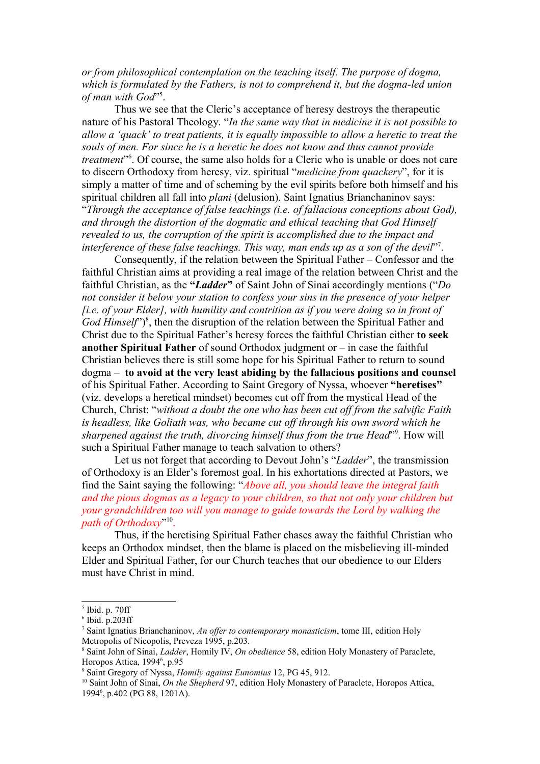*or from philosophical contemplation on the teaching itself. The purpose of dogma, which is formulated by the Fathers, is not to comprehend it, but the dogma-led union* of man with God"<sup>[5](#page-2-0)</sup>.

Thus we see that the Cleric's acceptance of heresy destroys the therapeutic nature of his Pastoral Theology. "*In the same way that in medicine it is not possible to allow a 'quack' to treat patients, it is equally impossible to allow a heretic to treat the souls of men. For since he is a heretic he does not know and thus cannot provide treatment*" [6](#page-2-1) . Of course, the same also holds for a Cleric who is unable or does not care to discern Orthodoxy from heresy, viz. spiritual "*medicine from quackery*", for it is simply a matter of time and of scheming by the evil spirits before both himself and his spiritual children all fall into *plani* (delusion). Saint Ignatius Brianchaninov says: "*Through the acceptance of false teachings (i.e. of fallacious conceptions about God), and through the distortion of the dogmatic and ethical teaching that God Himself revealed to us, the corruption of the spirit is accomplished due to the impact and* interference of these false teachings. This way, man ends up as a son of the devil<sup>[7](#page-2-2)7</sup>.

Consequently, if the relation between the Spiritual Father – Confessor and the faithful Christian aims at providing a real image of the relation between Christ and the faithful Christian, as the **"***Ladder***"** of Saint John of Sinai accordingly mentions ("*Do not consider it below your station to confess your sins in the presence of your helper [i.e. of your Elder], with humility and contrition as if you were doing so in front of* God Himself'')<sup>[8](#page-2-3)</sup>, then the disruption of the relation between the Spiritual Father and Christ due to the Spiritual Father's heresy forces the faithful Christian either **to seek another Spiritual Father** of sound Orthodox judgment or – in case the faithful Christian believes there is still some hope for his Spiritual Father to return to sound dogma – **to avoid at the very least abiding by the fallacious positions and counsel** of his Spiritual Father. According to Saint Gregory of Nyssa, whoever **"heretises"** (viz. develops a heretical mindset) becomes cut off from the mystical Head of the Church, Christ: "*without a doubt the one who has been cut off from the salvific Faith is headless, like Goliath was, who became cut off through his own sword which he* sharpened against the truth, divorcing himself thus from the true Head"<sup>[9](#page-2-4)</sup>. How will such a Spiritual Father manage to teach salvation to others?

Let us not forget that according to Devout John's "*Ladder*", the transmission of Orthodoxy is an Elder's foremost goal. In his exhortations directed at Pastors, we find the Saint saying the following: "*Above all, you should leave the integral faith and the pious dogmas as a legacy to your children, so that not only your children but your grandchildren too will you manage to guide towards the Lord by walking the path of Orthodoxy*" [10](#page-2-5) .

Thus, if the heretising Spiritual Father chases away the faithful Christian who keeps an Orthodox mindset, then the blame is placed on the misbelieving ill-minded Elder and Spiritual Father, for our Church teaches that our obedience to our Elders must have Christ in mind.

<span id="page-2-0"></span><sup>5</sup> Ibid. p. 70ff

<span id="page-2-1"></span><sup>6</sup> Ibid. p.203ff

<span id="page-2-2"></span><sup>7</sup> Saint Ignatius Brianchaninov, *An offer to contemporary monasticism*, tome III, edition Holy Metropolis of Nicopolis, Preveza 1995, p.203.

<span id="page-2-3"></span><sup>8</sup> Saint John of Sinai, *Ladder*, Homily IV, *On obedience* 58, edition Holy Monastery of Paraclete, Horopos Attica, 1994<sup>6</sup>, p.95

<span id="page-2-4"></span><sup>9</sup> Saint Gregory of Nyssa, *Homily against Eunomius* 12, PG 45, 912.

<span id="page-2-5"></span><sup>10</sup> Saint John of Sinai, *On the Shepherd* 97, edition Holy Monastery of Paraclete, Horopos Attica, 1994<sup>6</sup> , p.402 (PG 88, 1201A).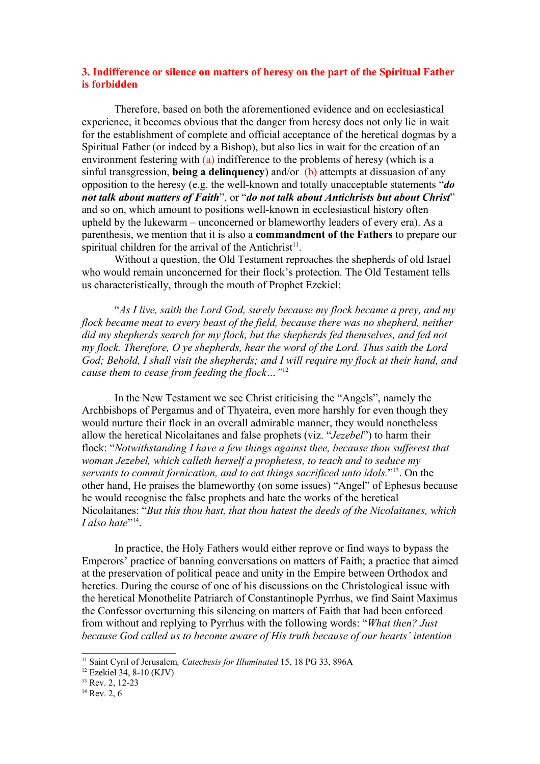### **3. Indifference or silence on matters of heresy on the part of the Spiritual Father is forbidden**

Therefore, based on both the aforementioned evidence and on ecclesiastical experience, it becomes obvious that the danger from heresy does not only lie in wait for the establishment of complete and official acceptance of the heretical dogmas by a Spiritual Father (or indeed by a Bishop), but also lies in wait for the creation of an environment festering with (a) indifference to the problems of heresy (which is a sinful transgression, **being a delinquency**) and/or (b) attempts at dissuasion of any opposition to the heresy (e.g. the well-known and totally unacceptable statements "*do not talk about matters of Faith*", or "*do not talk about Antichrists but about Christ*" and so on, which amount to positions well-known in ecclesiastical history often upheld by the lukewarm – unconcerned or blameworthy leaders of every era). As a parenthesis, we mention that it is also a **commandment of the Fathers** to prepare our spiritual children for the arrival of the Antichrist<sup>[11](#page-3-0)</sup>.

Without a question, the Old Testament reproaches the shepherds of old Israel who would remain unconcerned for their flock's protection. The Old Testament tells us characteristically, through the mouth of Prophet Ezekiel:

"*As I live, saith the Lord God, surely because my flock became a prey, and my flock became meat to every beast of the field, because there was no shepherd, neither did my shepherds search for my flock, but the shepherds fed themselves, and fed not my flock. Therefore, O ye shepherds, hear the word of the Lord. Thus saith the Lord God; Behold, I shall visit the shepherds; and I will require my flock at their hand, and cause them to cease from feeding the flock…"* [12](#page-3-1)

In the New Testament we see Christ criticising the "Angels", namely the Archbishops of Pergamus and of Thyateira, even more harshly for even though they would nurture their flock in an overall admirable manner, they would nonetheless allow the heretical Nicolaitanes and false prophets (viz. "*Jezebel*") to harm their flock: "*Notwithstanding I have a few things against thee, because thou sufferest that woman Jezebel, which calleth herself a prophetess, to teach and to seduce my servants to commit fornication, and to eat things sacrificed unto idols.*" [13](#page-3-2). On the other hand, He praises the blameworthy (on some issues) "Angel" of Ephesus because he would recognise the false prophets and hate the works of the heretical Nicolaitanes: "*But this thou hast, that thou hatest the deeds of the Nicolaitanes, which* I also hate"<sup>[14](#page-3-3)</sup>.

In practice, the Holy Fathers would either reprove or find ways to bypass the Emperors' practice of banning conversations on matters of Faith; a practice that aimed at the preservation of political peace and unity in the Empire between Orthodox and heretics. During the course of one of his discussions on the Christological issue with the heretical Monothelite Patriarch of Constantinople Pyrrhus, we find Saint Maximus the Confessor overturning this silencing on matters of Faith that had been enforced from without and replying to Pyrrhus with the following words: "*What then? Just because God called us to become aware of His truth because of our hearts' intention*

<span id="page-3-0"></span><sup>&</sup>lt;sup>11</sup> Saint Cyril of Jerusalem, *Catechesis for Illuminated* 15, 18 PG 33, 896A

<span id="page-3-1"></span><sup>12</sup> Ezekiel 34, 8-10 (KJV)

<span id="page-3-2"></span> $13$  Rev. 2, 12-23

<span id="page-3-3"></span> $14$  Rev. 2, 6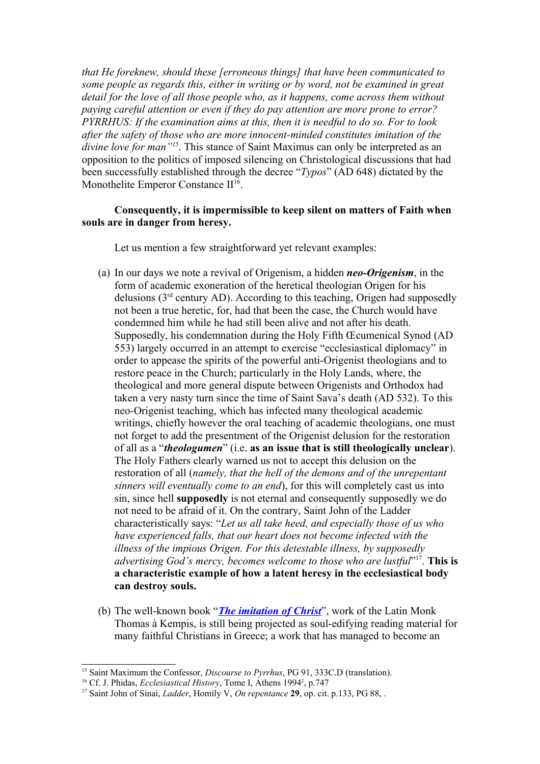*that He foreknew, should these [erroneous things] that have been communicated to some people as regards this, either in writing or by word, not be examined in great detail for the love of all those people who, as it happens, come across them without paying careful attention or even if they do pay attention are more prone to error? PYRRHUS: If the examination aims at this, then it is needful to do so. For to look after the safety of those who are more innocent-minded constitutes imitation of the divine love for man"[15](#page-4-0)*. This stance of Saint Maximus can only be interpreted as an opposition to the politics of imposed silencing on Christological discussions that had been successfully established through the decree "*Typos*" (AD 648) dictated by the Monothelite Emperor Constance II<sup>[16](#page-4-1)</sup>.

### **Consequently, it is impermissible to keep silent on matters of Faith when souls are in danger from heresy.**

Let us mention a few straightforward yet relevant examples:

- (a) In our days we note a revival of Origenism, a hidden *neo-Origenism*, in the form of academic exoneration of the heretical theologian Origen for his delusions  $(3<sup>rd</sup>$  century AD). According to this teaching, Origen had supposedly not been a true heretic, for, had that been the case, the Church would have condemned him while he had still been alive and not after his death. Supposedly, his condemnation during the Holy Fifth Œcumenical Synod (AD 553) largely occurred in an attempt to exercise "ecclesiastical diplomacy" in order to appease the spirits of the powerful anti-Origenist theologians and to restore peace in the Church; particularly in the Holy Lands, where, the theological and more general dispute between Origenists and Orthodox had taken a very nasty turn since the time of Saint Sava's death (AD 532). To this neo-Origenist teaching, which has infected many theological academic writings, chiefly however the oral teaching of academic theologians, one must not forget to add the presentment of the Origenist delusion for the restoration of all as a "*theologumen*" (i.e. **as an issue that is still theologically unclear**). The Holy Fathers clearly warned us not to accept this delusion on the restoration of all (*namely, that the hell of the demons and of the unrepentant sinners will eventually come to an end*), for this will completely cast us into sin, since hell **supposedly** is not eternal and consequently supposedly we do not need to be afraid of it. On the contrary, Saint John of the Ladder characteristically says: "*Let us all take heed, and especially those of us who have experienced falls, that our heart does not become infected with the illness of the impious Origen. For this detestable illness, by supposedly advertising God's mercy, becomes welcome to those who are lustful*" [17](#page-4-2) . **This is a characteristic example of how a latent heresy in the ecclesiastical body can destroy souls.**
- (b) The well-known book "*[The imitation of Christ](http://www.ccel.org/ccel/kempis/imitation.all.html)*", work of the Latin Monk Thomas à Kempis, is still being projected as soul-edifying reading material for many faithful Christians in Greece; a work that has managed to become an

<span id="page-4-0"></span><sup>15</sup> Saint Maximum the Confessor, *Discourse to Pyrrhus*, PG 91, 333C.D (translation).

<span id="page-4-1"></span><sup>&</sup>lt;sup>16</sup> Cf. J. Phidas, *Ecclesiastical History*, Tome I, Athens 1994<sup>2</sup>, p.747

<span id="page-4-2"></span><sup>17</sup> Saint John of Sinai, *Ladder*, Homily V, *On repentance* **29**, op. cit. p.133, PG 88, .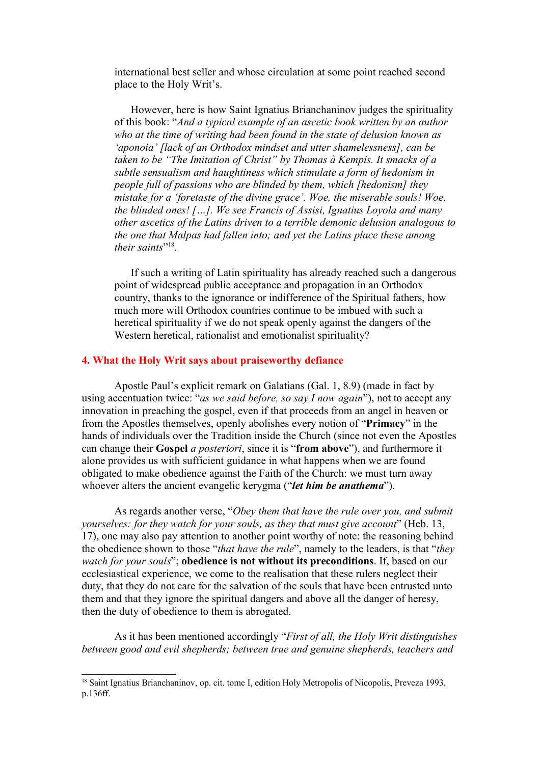international best seller and whose circulation at some point reached second place to the Holy Writ's.

However, here is how Saint Ignatius Brianchaninov judges the spirituality of this book: "*And a typical example of an ascetic book written by an author who at the time of writing had been found in the state of delusion known as 'aponoia' [lack of an Orthodox mindset and utter shamelessness], can be taken to be "The Imitation of Christ" by Thomas à Kempis. It smacks of a subtle sensualism and haughtiness which stimulate a form of hedonism in people full of passions who are blinded by them, which [hedonism] they mistake for a 'foretaste of the divine grace'. Woe, the miserable souls! Woe, the blinded ones! […]. We see Francis of Assisi, Ignatius Loyola and many other ascetics of the Latins driven to a terrible demonic delusion analogous to the one that Malpas had fallen into; and yet the Latins place these among* their saints"<sup>[18](#page-5-0)</sup>.

If such a writing of Latin spirituality has already reached such a dangerous point of widespread public acceptance and propagation in an Orthodox country, thanks to the ignorance or indifference of the Spiritual fathers, how much more will Orthodox countries continue to be imbued with such a heretical spirituality if we do not speak openly against the dangers of the Western heretical, rationalist and emotionalist spirituality?

### **4. What the Holy Writ says about praiseworthy defiance**

Apostle Paul's explicit remark on Galatians (Gal. 1, 8.9) (made in fact by using accentuation twice: "*as we said before, so say I now again*"), not to accept any innovation in preaching the gospel, even if that proceeds from an angel in heaven or from the Apostles themselves, openly abolishes every notion of "**Primacy**" in the hands of individuals over the Tradition inside the Church (since not even the Apostles can change their **Gospel** *a posteriori*, since it is "**from above**"), and furthermore it alone provides us with sufficient guidance in what happens when we are found obligated to make obedience against the Faith of the Church: we must turn away whoever alters the ancient evangelic kerygma ("*let him be anathema*").

As regards another verse, "*Obey them that have the rule over you, and submit yourselves: for they watch for your souls, as they that must give account*" (Heb. 13, 17), one may also pay attention to another point worthy of note: the reasoning behind the obedience shown to those "*that have the rule*", namely to the leaders, is that "*they watch for your souls*"; **obedience is not without its preconditions**. If, based on our ecclesiastical experience, we come to the realisation that these rulers neglect their duty, that they do not care for the salvation of the souls that have been entrusted unto them and that they ignore the spiritual dangers and above all the danger of heresy, then the duty of obedience to them is abrogated.

As it has been mentioned accordingly "*First of all, the Holy Writ distinguishes between good and evil shepherds; between true and genuine shepherds, teachers and*

<span id="page-5-0"></span><sup>&</sup>lt;sup>18</sup> Saint Ignatius Brianchaninov, op. cit. tome I, edition Holy Metropolis of Nicopolis, Preveza 1993, p.136ff.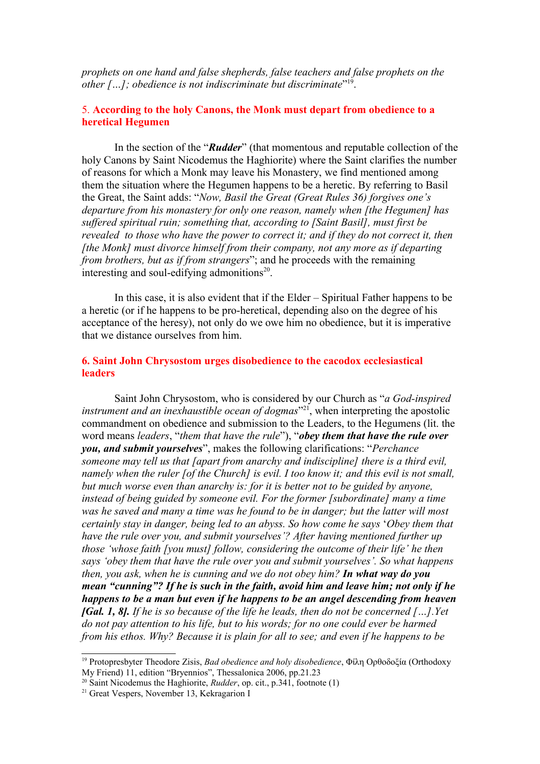*prophets on one hand and false shepherds, false teachers and false prophets on the other […]; obedience is not indiscriminate but discriminate*" [19](#page-6-0) .

## 5. **According to the holy Canons, the Monk must depart from obedience to a heretical Hegumen**

In the section of the "*Rudder*" (that momentous and reputable collection of the holy Canons by Saint Nicodemus the Haghiorite) where the Saint clarifies the number of reasons for which a Monk may leave his Monastery, we find mentioned among them the situation where the Hegumen happens to be a heretic. By referring to Basil the Great, the Saint adds: "*Now, Basil the Great (Great Rules 36) forgives one's departure from his monastery for only one reason, namely when [the Hegumen] has suffered spiritual ruin; something that, according to [Saint Basil], must first be revealed to those who have the power to correct it; and if they do not correct it, then [the Monk] must divorce himself from their company, not any more as if departing from brothers, but as if from strangers*"; and he proceeds with the remaining interesting and soul-edifying admonitions<sup>[20](#page-6-1)</sup>.

In this case, it is also evident that if the Elder – Spiritual Father happens to be a heretic (or if he happens to be pro-heretical, depending also on the degree of his acceptance of the heresy), not only do we owe him no obedience, but it is imperative that we distance ourselves from him.

## **6. Saint John Chrysostom urges disobedience to the cacodox ecclesiastical leaders**

Saint John Chrysostom, who is considered by our Church as "*a God-inspired instrument and an inexhaustible ocean of dogmas*" [21](#page-6-2), when interpreting the apostolic commandment on obedience and submission to the Leaders, to the Hegumens (lit. the word means *leaders*, "*them that have the rule*"), "*obey them that have the rule over you, and submit yourselves*", makes the following clarifications: "*Perchance someone may tell us that [apart from anarchy and indiscipline] there is a third evil, namely when the ruler [of the Church] is evil. I too know it; and this evil is not small, but much worse even than anarchy is: for it is better not to be guided by anyone, instead of being guided by someone evil. For the former [subordinate] many a time was he saved and many a time was he found to be in danger; but the latter will most certainly stay in danger, being led to an abyss. So how come he says* '*Obey them that have the rule over you, and submit yourselves'? After having mentioned further up those 'whose faith [you must] follow, considering the outcome of their life' he then says 'obey them that have the rule over you and submit yourselves'. So what happens then, you ask, when he is cunning and we do not obey him? In what way do you mean "cunning"? If he is such in the faith, avoid him and leave him; not only if he happens to be a man but even if he happens to be an angel descending from heaven [Gal. 1, 8]. If he is so because of the life he leads, then do not be concerned […].Yet do not pay attention to his life, but to his words; for no one could ever be harmed from his ethos. Why? Because it is plain for all to see; and even if he happens to be*

<span id="page-6-0"></span><sup>19</sup> Protopresbyter Theodore Zisis, *Bad obedience and holy disobedience*, Φίλη Ορθοδοξία (Orthodoxy My Friend) 11, edition "Bryennios", Thessalonica 2006, pp.21.23

<span id="page-6-1"></span><sup>20</sup> Saint Nicodemus the Haghiorite, *Rudder*, op. cit., p.341, footnote (1)

<span id="page-6-2"></span><sup>&</sup>lt;sup>21</sup> Great Vespers, November 13, Kekragarion I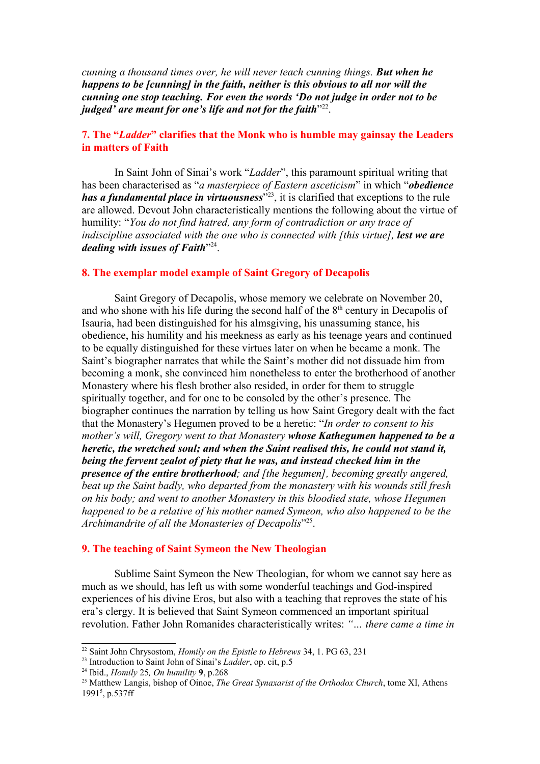*cunning a thousand times over, he will never teach cunning things. But when he happens to be [cunning] in the faith, neither is this obvious to all nor will the cunning one stop teaching. For even the words 'Do not judge in order not to be judged' are meant for one's life and not for the faith*" [22](#page-7-0) .

# **7. The "***Ladder***" clarifies that the Monk who is humble may gainsay the Leaders in matters of Faith**

In Saint John of Sinai's work "*Ladder*", this paramount spiritual writing that has been characterised as "*a masterpiece of Eastern asceticism*" in which "*obedience has a fundamental place in virtuousness*" [23](#page-7-1), it is clarified that exceptions to the rule are allowed. Devout John characteristically mentions the following about the virtue of humility: "*You do not find hatred, any form of contradiction or any trace of indiscipline associated with the one who is connected with [this virtue], lest we are dealing with issues of Faith*" [24](#page-7-2) .

### **8. The exemplar model example of Saint Gregory of Decapolis**

Saint Gregory of Decapolis, whose memory we celebrate on November 20, and who shone with his life during the second half of the  $8<sup>th</sup>$  century in Decapolis of Isauria, had been distinguished for his almsgiving, his unassuming stance, his obedience, his humility and his meekness as early as his teenage years and continued to be equally distinguished for these virtues later on when he became a monk. The Saint's biographer narrates that while the Saint's mother did not dissuade him from becoming a monk, she convinced him nonetheless to enter the brotherhood of another Monastery where his flesh brother also resided, in order for them to struggle spiritually together, and for one to be consoled by the other's presence. The biographer continues the narration by telling us how Saint Gregory dealt with the fact that the Monastery's Hegumen proved to be a heretic: "*In order to consent to his mother's will, Gregory went to that Monastery whose Kathegumen happened to be a heretic, the wretched soul; and when the Saint realised this, he could not stand it, being the fervent zealot of piety that he was, and instead checked him in the presence of the entire brotherhood; and [the hegumen], becoming greatly angered, beat up the Saint badly, who departed from the monastery with his wounds still fresh on his body; and went to another Monastery in this bloodied state, whose Hegumen happened to be a relative of his mother named Symeon, who also happened to be the Archimandrite of all the Monasteries of Decapolis*" [25](#page-7-3) .

#### **9. The teaching of Saint Symeon the New Theologian**

Sublime Saint Symeon the New Theologian, for whom we cannot say here as much as we should, has left us with some wonderful teachings and God-inspired experiences of his divine Eros, but also with a teaching that reproves the state of his era's clergy. It is believed that Saint Symeon commenced an important spiritual revolution. Father John Romanides characteristically writes: *"… there came a time in*

<span id="page-7-0"></span><sup>22</sup> Saint John Chrysostom, *Homily on the Epistle to Hebrews* 34, 1. PG 63, 231

<span id="page-7-1"></span><sup>23</sup> Introduction to Saint John of Sinai's *Ladder*, op. cit, p.5

<span id="page-7-2"></span><sup>24</sup> Ibid., *Homily* 25*, On humility* **9**, p.268

<span id="page-7-3"></span><sup>25</sup> Matthew Langis, bishop of Oinoe, *The Great Synaxarist of the Orthodox Church*, tome XI, Athens 1991<sup>5</sup>, p.537ff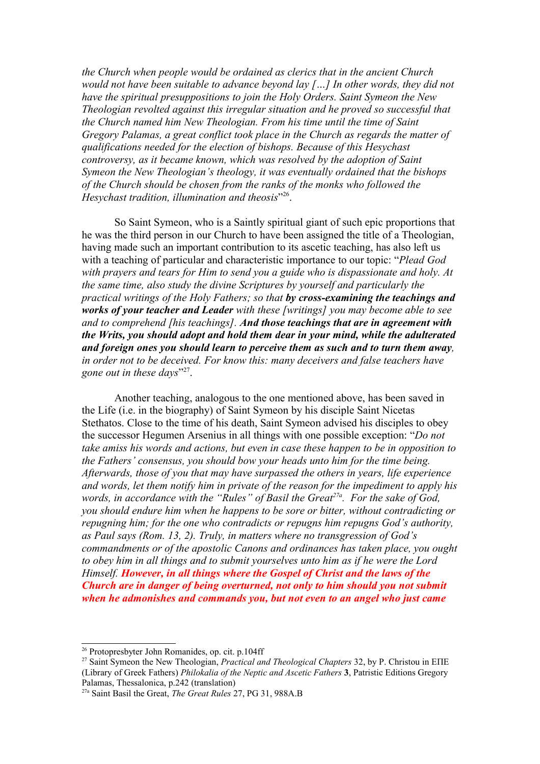*the Church when people would be ordained as clerics that in the ancient Church would not have been suitable to advance beyond lay […] In other words, they did not have the spiritual presuppositions to join the Holy Orders. Saint Symeon the New Theologian revolted against this irregular situation and he proved so successful that the Church named him New Theologian. From his time until the time of Saint Gregory Palamas, a great conflict took place in the Church as regards the matter of qualifications needed for the election of bishops. Because of this Hesychast controversy, as it became known, which was resolved by the adoption of Saint Symeon the New Theologian's theology, it was eventually ordained that the bishops of the Church should be chosen from the ranks of the monks who followed the Hesychast tradition, illumination and theosis*" [26](#page-8-0) .

So Saint Symeon, who is a Saintly spiritual giant of such epic proportions that he was the third person in our Church to have been assigned the title of a Theologian, having made such an important contribution to its ascetic teaching, has also left us with a teaching of particular and characteristic importance to our topic: "*Plead God with prayers and tears for Him to send you a guide who is dispassionate and holy. At the same time, also study the divine Scriptures by yourself and particularly the practical writings of the Holy Fathers; so that by cross-examining the teachings and works of your teacher and Leader with these [writings] you may become able to see and to comprehend [his teachings]. And those teachings that are in agreement with the Writs, you should adopt and hold them dear in your mind, while the adulterated and foreign ones you should learn to perceive them as such and to turn them away, in order not to be deceived. For know this: many deceivers and false teachers have* gone out in these days"<sup>[27](#page-8-1)</sup>.

Another teaching, analogous to the one mentioned above, has been saved in the Life (i.e. in the biography) of Saint Symeon by his disciple Saint Nicetas Stethatos. Close to the time of his death, Saint Symeon advised his disciples to obey the successor Hegumen Arsenius in all things with one possible exception: "*Do not take amiss his words and actions, but even in case these happen to be in opposition to the Fathers' consensus, you should bow your heads unto him for the time being. Afterwards, those of you that may have surpassed the others in years, life experience and words, let them notify him in private of the reason for the impediment to apply his words, in accordance with the "Rules" of Basil the Great27a. For the sake of God, you should endure him when he happens to be sore or bitter, without contradicting or repugning him; for the one who contradicts or repugns him repugns God's authority, as Paul says (Rom. 13, 2). Truly, in matters where no transgression of God's commandments or of the apostolic Canons and ordinances has taken place, you ought to obey him in all things and to submit yourselves unto him as if he were the Lord Himself. However, in all things where the Gospel of Christ and the laws of the Church are in danger of being overturned, not only to him should you not submit when he admonishes and commands you, but not even to an angel who just came*

<span id="page-8-0"></span><sup>26</sup> Protopresbyter John Romanides, op. cit. p.104ff

<span id="page-8-1"></span><sup>&</sup>lt;sup>27</sup> Saint Symeon the New Theologian, *Practical and Theological Chapters* 32, by P. Christou in ΕΠΕ (Library of Greek Fathers) *Philokalia of the Neptic and Ascetic Fathers* **3**, Patristic Editions Gregory Palamas, Thessalonica, p.242 (translation)

<sup>27</sup>a Saint Basil the Great, *The Great Rules* 27, PG 31, 988A.B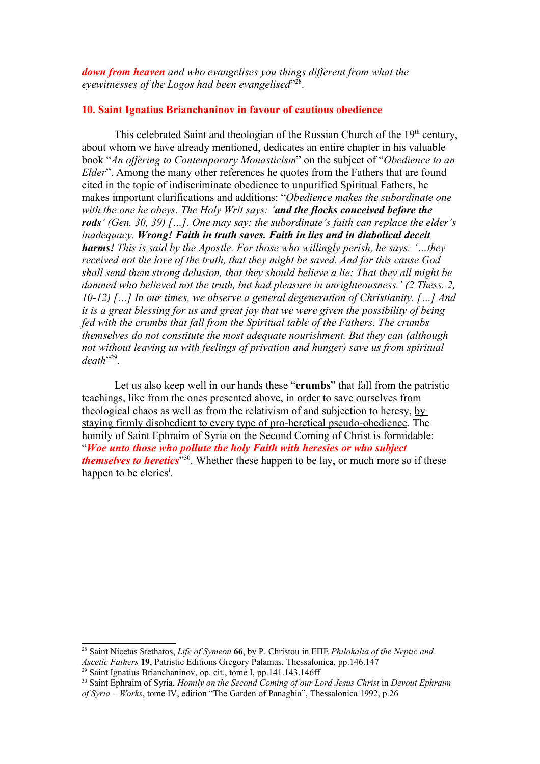*down from heaven and who evangelises you things different from what the* eyewitnesses of the Logos had been evangelised<sup>"[28](#page-9-0)</sup>.

### **10. Saint Ignatius Brianchaninov in favour of cautious obedience**

This celebrated Saint and theologian of the Russian Church of the  $19<sup>th</sup>$  century, about whom we have already mentioned, dedicates an entire chapter in his valuable book "*An offering to Contemporary Monasticism*" on the subject of "*Obedience to an Elder*". Among the many other references he quotes from the Fathers that are found cited in the topic of indiscriminate obedience to unpurified Spiritual Fathers, he makes important clarifications and additions: "*Obedience makes the subordinate one with the one he obeys. The Holy Writ says: 'and the flocks conceived before the rods' (Gen. 30, 39) […]. One may say: the subordinate's faith can replace the elder's inadequacy. Wrong! Faith in truth saves. Faith in lies and in diabolical deceit harms! This is said by the Apostle. For those who willingly perish, he says: '…they received not the love of the truth, that they might be saved. And for this cause God shall send them strong delusion, that they should believe a lie: That they all might be damned who believed not the truth, but had pleasure in unrighteousness.' (2 Thess. 2, 10-12) […] In our times, we observe a general degeneration of Christianity. […] And it is a great blessing for us and great joy that we were given the possibility of being fed with the crumbs that fall from the Spiritual table of the Fathers. The crumbs themselves do not constitute the most adequate nourishment. But they can (although not without leaving us with feelings of privation and hunger) save us from spiritual death*" [29](#page-9-1) .

Let us also keep well in our hands these "**crumbs**" that fall from the patristic teachings, like from the ones presented above, in order to save ourselves from theological chaos as well as from the relativism of and subjection to heresy, by staying firmly disobedient to every type of pro-heretical pseudo-obedience. The homily of Saint Ephraim of Syria on the Second Coming of Christ is formidable: "*Woe unto those who pollute the holy Faith with heresies or who subject themselves to heretics*" [30](#page-9-2). Whether these happen to be lay, or much more so if these happen to be cler[i](#page-10-0)cs<sup>i</sup>.

<span id="page-9-0"></span><sup>28</sup> Saint Nicetas Stethatos, *Life of Symeon* **66**, by P. Christou in ΕΠΕ *Philokalia of the Neptic and Ascetic Fathers* **19**, Patristic Editions Gregory Palamas, Thessalonica, pp.146.147

<span id="page-9-1"></span> $29$  Saint Ignatius Brianchaninov, op. cit., tome I, pp. 141.143.146ff

<span id="page-9-2"></span><sup>30</sup> Saint Ephraim of Syria, *Homily on the Second Coming of our Lord Jesus Christ* in *Devout Ephraim of Syria – Works*, tome IV, edition "The Garden of Panaghia", Thessalonica 1992, p.26